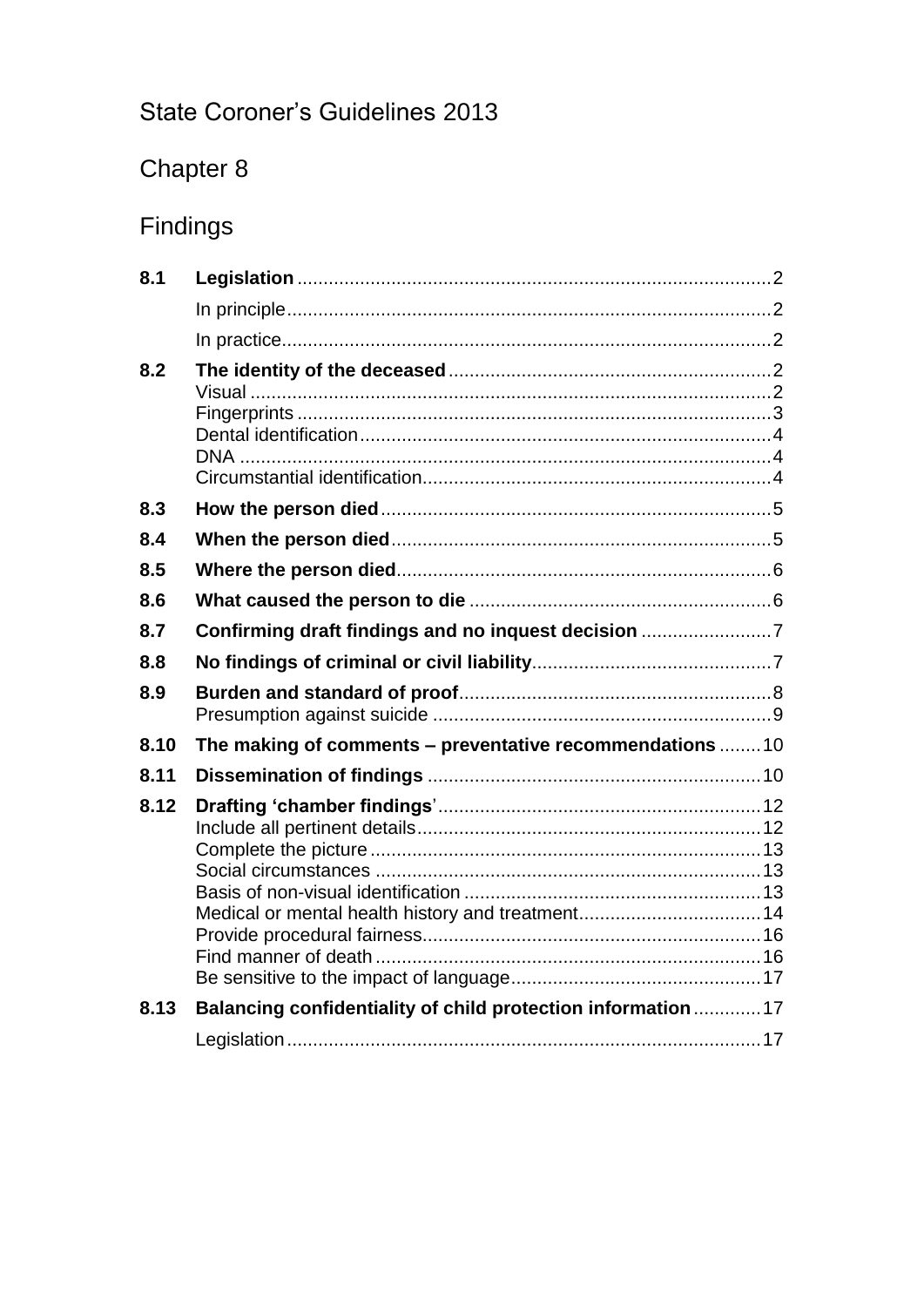# State Coroner's Guidelines 2013

# Chapter 8

# Findings

<span id="page-0-0"></span>

| 8.1  |                                                               |  |
|------|---------------------------------------------------------------|--|
|      |                                                               |  |
|      |                                                               |  |
| 8.2  |                                                               |  |
|      |                                                               |  |
| 8.3  |                                                               |  |
| 8.4  |                                                               |  |
| 8.5  |                                                               |  |
| 8.6  |                                                               |  |
| 8.7  | Confirming draft findings and no inquest decision 7           |  |
| 8.8  |                                                               |  |
| 8.9  |                                                               |  |
| 8.10 | The making of comments - preventative recommendations 10      |  |
| 8.11 |                                                               |  |
| 8.12 | Medical or mental health history and treatment 14             |  |
| 8.13 | Balancing confidentiality of child protection information  17 |  |
|      |                                                               |  |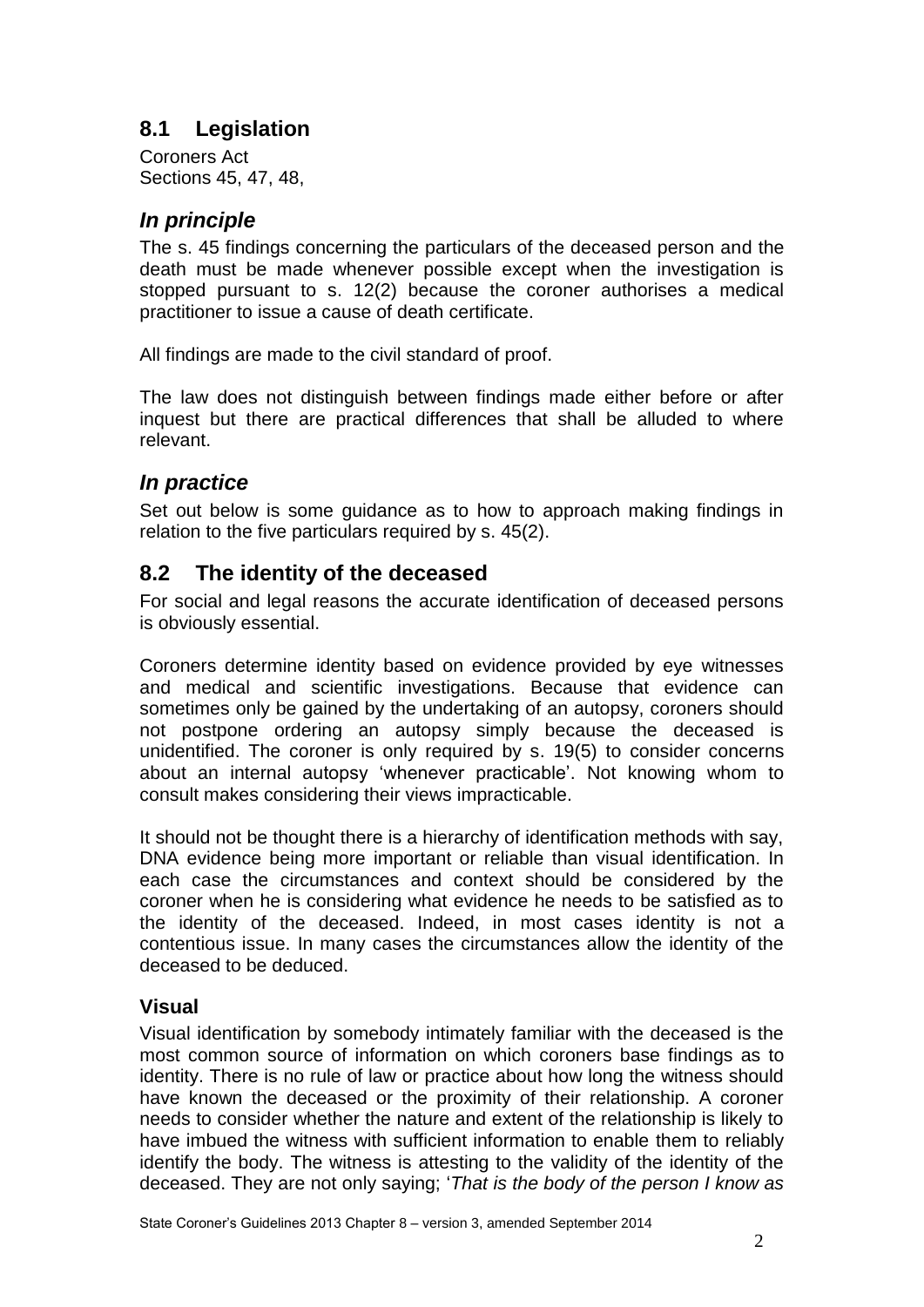# **8.1 Legislation**

Coroners Act Sections 45, 47, 48,

## <span id="page-1-0"></span>*In principle*

The s. 45 findings concerning the particulars of the deceased person and the death must be made whenever possible except when the investigation is stopped pursuant to s. 12(2) because the coroner authorises a medical practitioner to issue a cause of death certificate.

All findings are made to the civil standard of proof.

The law does not distinguish between findings made either before or after inquest but there are practical differences that shall be alluded to where relevant.

# <span id="page-1-1"></span>*In practice*

Set out below is some guidance as to how to approach making findings in relation to the five particulars required by s. 45(2).

## <span id="page-1-2"></span>**8.2 The identity of the deceased**

For social and legal reasons the accurate identification of deceased persons is obviously essential.

Coroners determine identity based on evidence provided by eye witnesses and medical and scientific investigations. Because that evidence can sometimes only be gained by the undertaking of an autopsy, coroners should not postpone ordering an autopsy simply because the deceased is unidentified. The coroner is only required by s. 19(5) to consider concerns about an internal autopsy 'whenever practicable'. Not knowing whom to consult makes considering their views impracticable.

It should not be thought there is a hierarchy of identification methods with say, DNA evidence being more important or reliable than visual identification. In each case the circumstances and context should be considered by the coroner when he is considering what evidence he needs to be satisfied as to the identity of the deceased. Indeed, in most cases identity is not a contentious issue. In many cases the circumstances allow the identity of the deceased to be deduced.

#### <span id="page-1-3"></span>**Visual**

Visual identification by somebody intimately familiar with the deceased is the most common source of information on which coroners base findings as to identity. There is no rule of law or practice about how long the witness should have known the deceased or the proximity of their relationship. A coroner needs to consider whether the nature and extent of the relationship is likely to have imbued the witness with sufficient information to enable them to reliably identify the body. The witness is attesting to the validity of the identity of the deceased. They are not only saying; '*That is the body of the person I know as*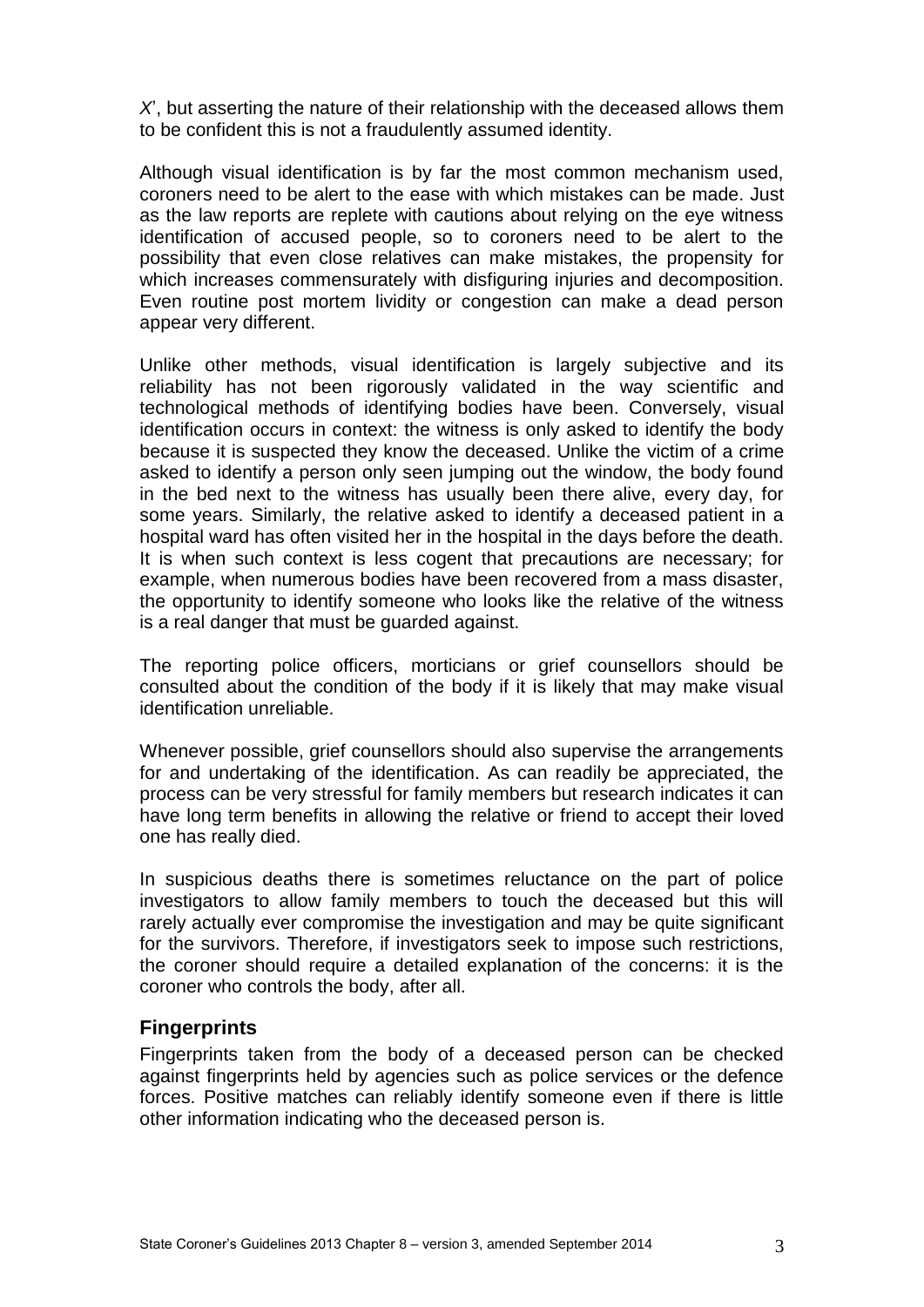*X*', but asserting the nature of their relationship with the deceased allows them to be confident this is not a fraudulently assumed identity.

Although visual identification is by far the most common mechanism used, coroners need to be alert to the ease with which mistakes can be made. Just as the law reports are replete with cautions about relying on the eye witness identification of accused people, so to coroners need to be alert to the possibility that even close relatives can make mistakes, the propensity for which increases commensurately with disfiguring injuries and decomposition. Even routine post mortem lividity or congestion can make a dead person appear very different.

Unlike other methods, visual identification is largely subjective and its reliability has not been rigorously validated in the way scientific and technological methods of identifying bodies have been. Conversely, visual identification occurs in context: the witness is only asked to identify the body because it is suspected they know the deceased. Unlike the victim of a crime asked to identify a person only seen jumping out the window, the body found in the bed next to the witness has usually been there alive, every day, for some years. Similarly, the relative asked to identify a deceased patient in a hospital ward has often visited her in the hospital in the days before the death. It is when such context is less cogent that precautions are necessary; for example, when numerous bodies have been recovered from a mass disaster, the opportunity to identify someone who looks like the relative of the witness is a real danger that must be guarded against.

The reporting police officers, morticians or grief counsellors should be consulted about the condition of the body if it is likely that may make visual identification unreliable.

Whenever possible, grief counsellors should also supervise the arrangements for and undertaking of the identification. As can readily be appreciated, the process can be very stressful for family members but research indicates it can have long term benefits in allowing the relative or friend to accept their loved one has really died.

In suspicious deaths there is sometimes reluctance on the part of police investigators to allow family members to touch the deceased but this will rarely actually ever compromise the investigation and may be quite significant for the survivors. Therefore, if investigators seek to impose such restrictions, the coroner should require a detailed explanation of the concerns: it is the coroner who controls the body, after all.

#### <span id="page-2-0"></span>**Fingerprints**

Fingerprints taken from the body of a deceased person can be checked against fingerprints held by agencies such as police services or the defence forces. Positive matches can reliably identify someone even if there is little other information indicating who the deceased person is.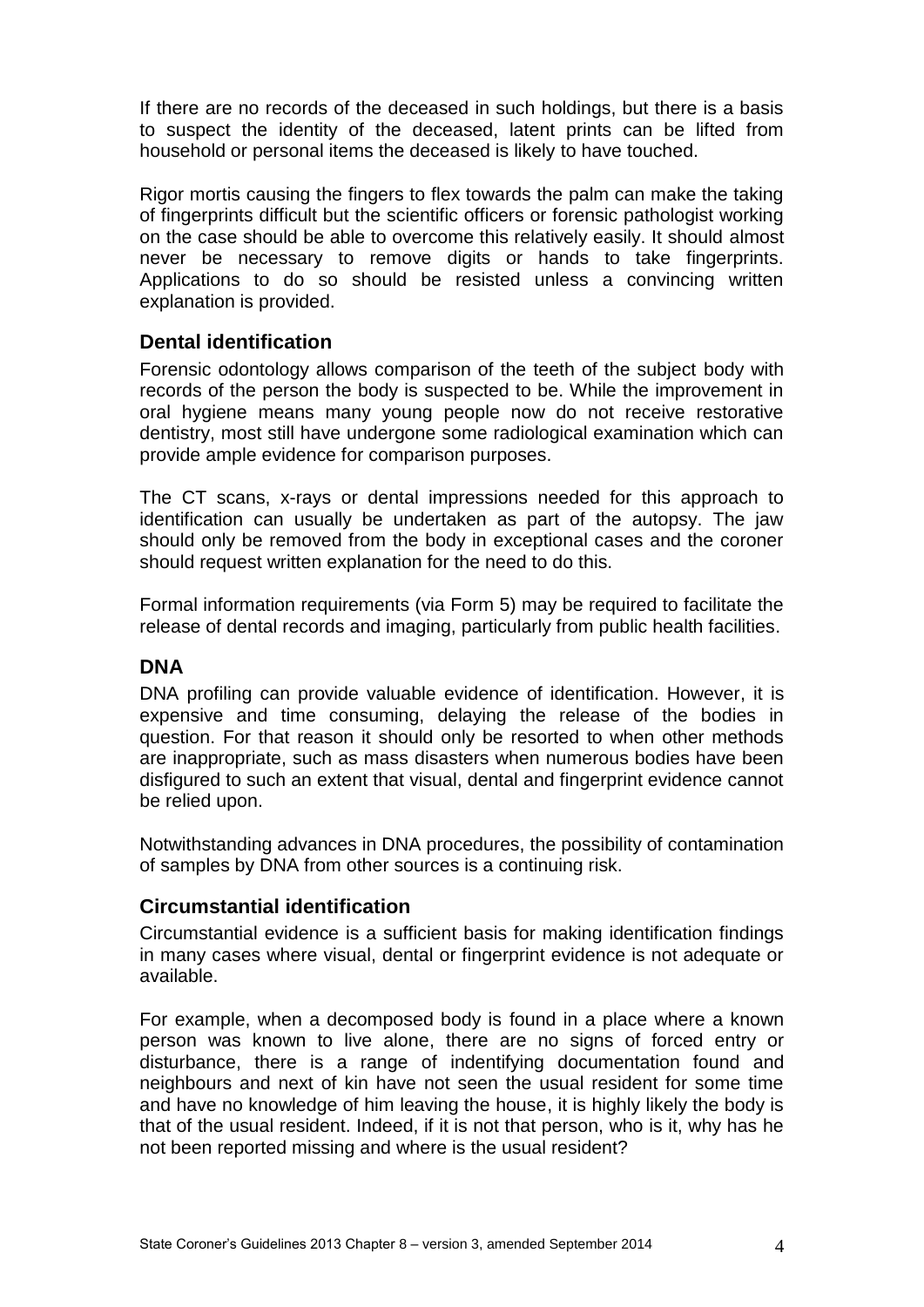If there are no records of the deceased in such holdings, but there is a basis to suspect the identity of the deceased, latent prints can be lifted from household or personal items the deceased is likely to have touched.

Rigor mortis causing the fingers to flex towards the palm can make the taking of fingerprints difficult but the scientific officers or forensic pathologist working on the case should be able to overcome this relatively easily. It should almost never be necessary to remove digits or hands to take fingerprints. Applications to do so should be resisted unless a convincing written explanation is provided.

#### <span id="page-3-0"></span>**Dental identification**

Forensic odontology allows comparison of the teeth of the subject body with records of the person the body is suspected to be. While the improvement in oral hygiene means many young people now do not receive restorative dentistry, most still have undergone some radiological examination which can provide ample evidence for comparison purposes.

The CT scans, x-rays or dental impressions needed for this approach to identification can usually be undertaken as part of the autopsy. The jaw should only be removed from the body in exceptional cases and the coroner should request written explanation for the need to do this.

Formal information requirements (via Form 5) may be required to facilitate the release of dental records and imaging, particularly from public health facilities.

## <span id="page-3-1"></span>**DNA**

DNA profiling can provide valuable evidence of identification. However, it is expensive and time consuming, delaying the release of the bodies in question. For that reason it should only be resorted to when other methods are inappropriate, such as mass disasters when numerous bodies have been disfigured to such an extent that visual, dental and fingerprint evidence cannot be relied upon.

Notwithstanding advances in DNA procedures, the possibility of contamination of samples by DNA from other sources is a continuing risk.

#### <span id="page-3-2"></span>**Circumstantial identification**

Circumstantial evidence is a sufficient basis for making identification findings in many cases where visual, dental or fingerprint evidence is not adequate or available.

For example, when a decomposed body is found in a place where a known person was known to live alone, there are no signs of forced entry or disturbance, there is a range of indentifying documentation found and neighbours and next of kin have not seen the usual resident for some time and have no knowledge of him leaving the house, it is highly likely the body is that of the usual resident. Indeed, if it is not that person, who is it, why has he not been reported missing and where is the usual resident?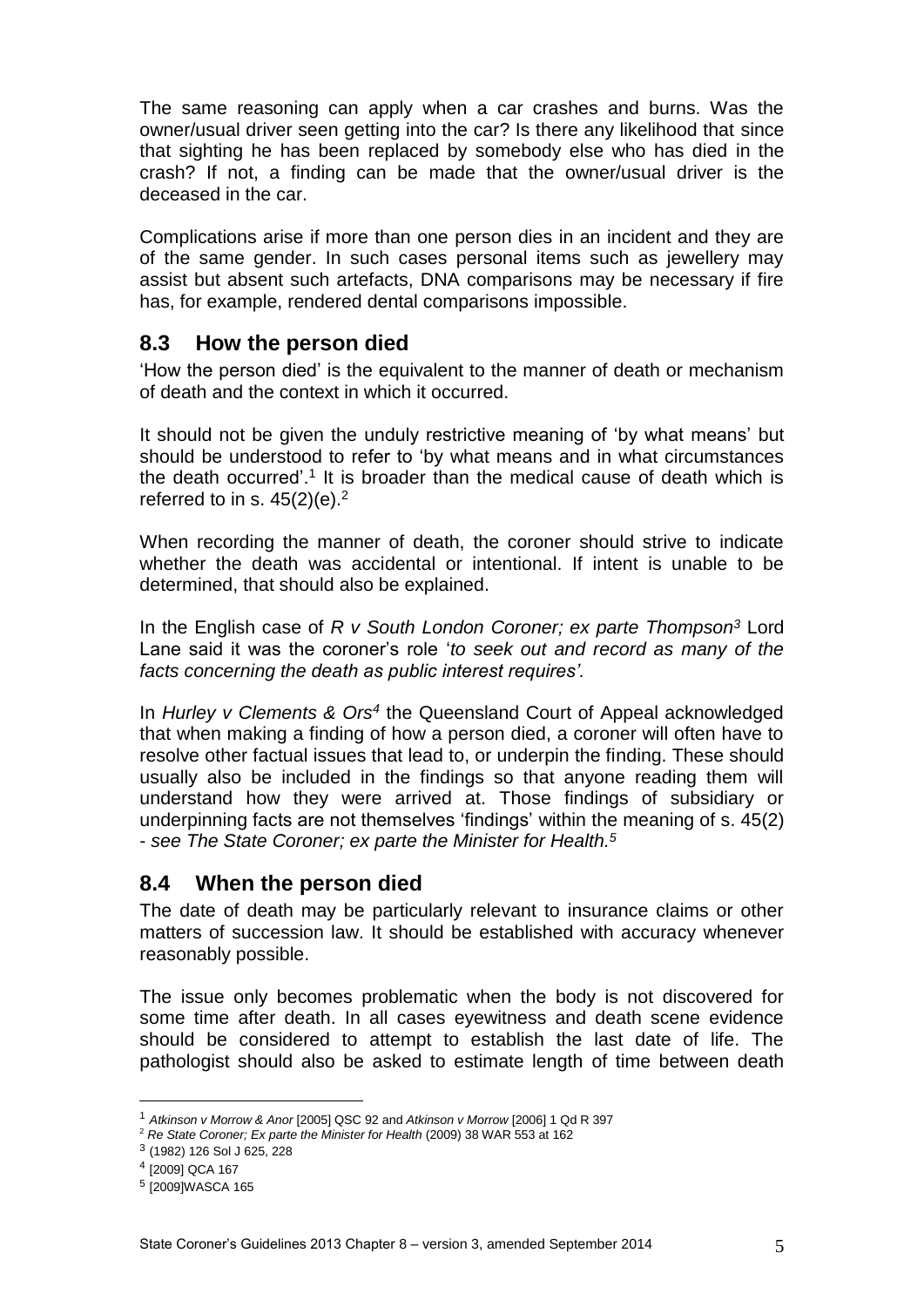The same reasoning can apply when a car crashes and burns. Was the owner/usual driver seen getting into the car? Is there any likelihood that since that sighting he has been replaced by somebody else who has died in the crash? If not, a finding can be made that the owner/usual driver is the deceased in the car.

Complications arise if more than one person dies in an incident and they are of the same gender. In such cases personal items such as jewellery may assist but absent such artefacts, DNA comparisons may be necessary if fire has, for example, rendered dental comparisons impossible.

## <span id="page-4-0"></span>**8.3 How the person died**

'How the person died' is the equivalent to the manner of death or mechanism of death and the context in which it occurred.

It should not be given the unduly restrictive meaning of 'by what means' but should be understood to refer to 'by what means and in what circumstances the death occurred'.<sup>1</sup> It is broader than the medical cause of death which is referred to in s.  $45(2)(e).<sup>2</sup>$ 

When recording the manner of death, the coroner should strive to indicate whether the death was accidental or intentional. If intent is unable to be determined, that should also be explained.

In the English case of *R v South London Coroner; ex parte Thompson<sup>3</sup>* Lord Lane said it was the coroner's role '*to seek out and record as many of the facts concerning the death as public interest requires'.*

In *Hurley v Clements & Ors<sup>4</sup>* the Queensland Court of Appeal acknowledged that when making a finding of how a person died, a coroner will often have to resolve other factual issues that lead to, or underpin the finding. These should usually also be included in the findings so that anyone reading them will understand how they were arrived at. Those findings of subsidiary or underpinning facts are not themselves 'findings' within the meaning of s. 45(2) - *see The State Coroner; ex parte the Minister for Health. 5*

## <span id="page-4-1"></span>**8.4 When the person died**

The date of death may be particularly relevant to insurance claims or other matters of succession law. It should be established with accuracy whenever reasonably possible.

The issue only becomes problematic when the body is not discovered for some time after death. In all cases eyewitness and death scene evidence should be considered to attempt to establish the last date of life. The pathologist should also be asked to estimate length of time between death

<u>.</u>

<sup>1</sup> *Atkinson v Morrow & Anor* [2005] QSC 92 and *Atkinson v Morrow* [2006] 1 Qd R 397

<sup>2</sup> *Re State Coroner; Ex parte the Minister for Health* (2009) 38 WAR 553 at 162

<sup>3</sup> (1982) 126 Sol J 625, 228

<sup>4</sup> [2009] QCA 167

<sup>5</sup> [2009]WASCA 165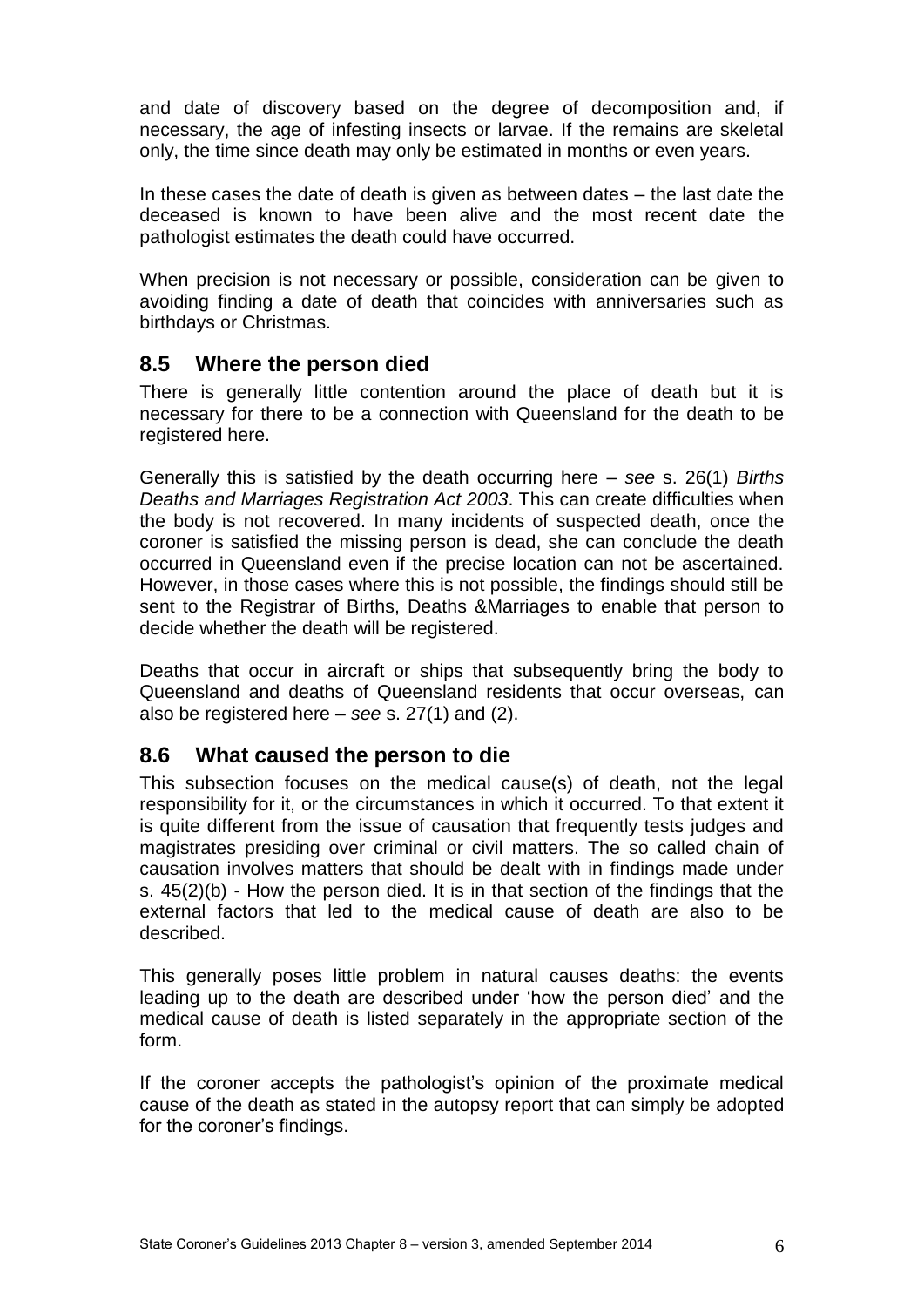and date of discovery based on the degree of decomposition and, if necessary, the age of infesting insects or larvae. If the remains are skeletal only, the time since death may only be estimated in months or even years.

In these cases the date of death is given as between dates – the last date the deceased is known to have been alive and the most recent date the pathologist estimates the death could have occurred.

When precision is not necessary or possible, consideration can be given to avoiding finding a date of death that coincides with anniversaries such as birthdays or Christmas.

### <span id="page-5-0"></span>**8.5 Where the person died**

There is generally little contention around the place of death but it is necessary for there to be a connection with Queensland for the death to be registered here.

Generally this is satisfied by the death occurring here – *see* s. 26(1) *Births Deaths and Marriages Registration Act 2003*. This can create difficulties when the body is not recovered. In many incidents of suspected death, once the coroner is satisfied the missing person is dead, she can conclude the death occurred in Queensland even if the precise location can not be ascertained. However, in those cases where this is not possible, the findings should still be sent to the Registrar of Births, Deaths &Marriages to enable that person to decide whether the death will be registered.

Deaths that occur in aircraft or ships that subsequently bring the body to Queensland and deaths of Queensland residents that occur overseas, can also be registered here – *see* s. 27(1) and (2).

#### <span id="page-5-1"></span>**8.6 What caused the person to die**

This subsection focuses on the medical cause(s) of death, not the legal responsibility for it, or the circumstances in which it occurred. To that extent it is quite different from the issue of causation that frequently tests judges and magistrates presiding over criminal or civil matters. The so called chain of causation involves matters that should be dealt with in findings made under s. 45(2)(b) - How the person died. It is in that section of the findings that the external factors that led to the medical cause of death are also to be described.

This generally poses little problem in natural causes deaths: the events leading up to the death are described under 'how the person died' and the medical cause of death is listed separately in the appropriate section of the form.

If the coroner accepts the pathologist's opinion of the proximate medical cause of the death as stated in the autopsy report that can simply be adopted for the coroner's findings.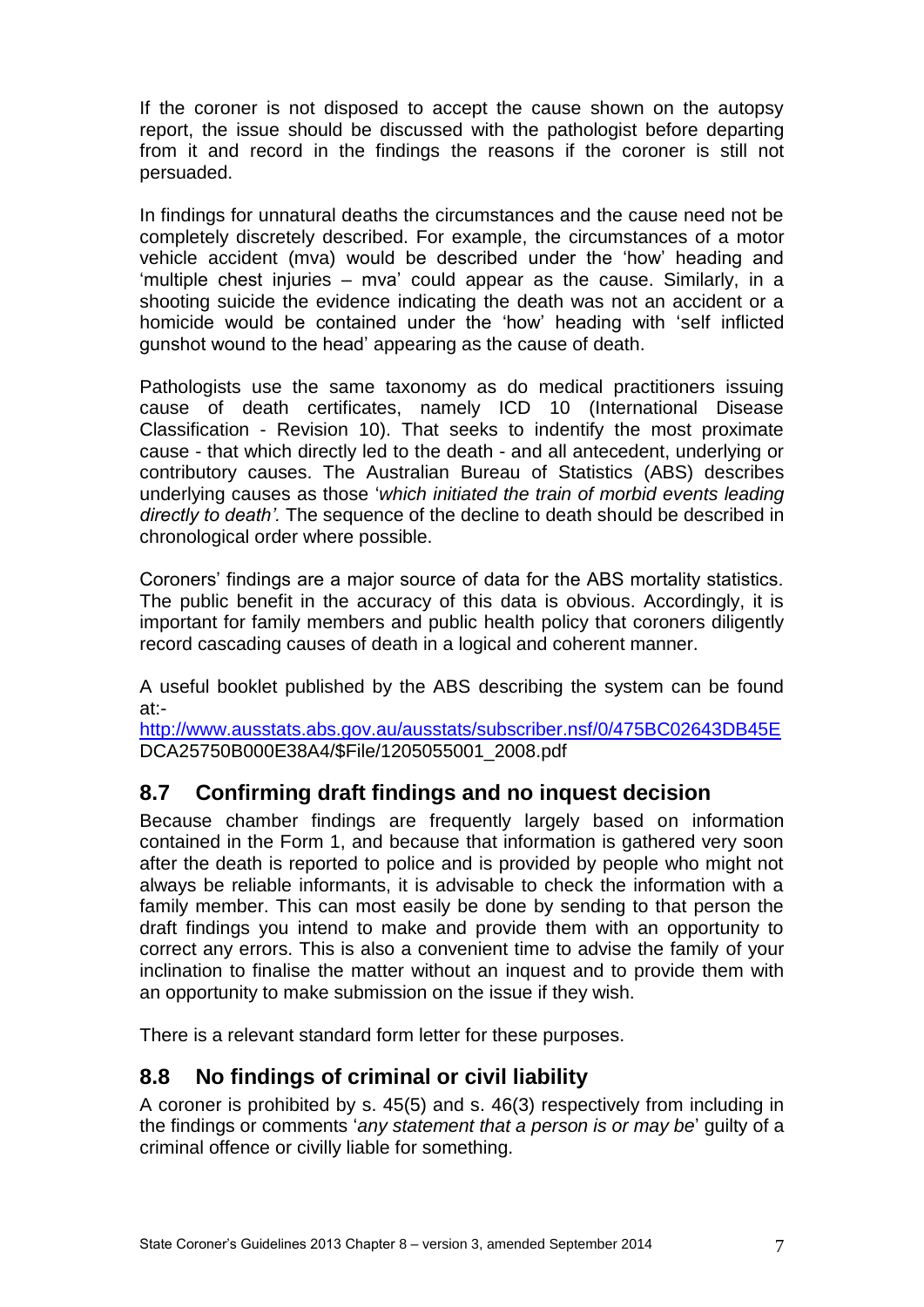If the coroner is not disposed to accept the cause shown on the autopsy report, the issue should be discussed with the pathologist before departing from it and record in the findings the reasons if the coroner is still not persuaded.

In findings for unnatural deaths the circumstances and the cause need not be completely discretely described. For example, the circumstances of a motor vehicle accident (mva) would be described under the 'how' heading and 'multiple chest injuries – mva' could appear as the cause. Similarly, in a shooting suicide the evidence indicating the death was not an accident or a homicide would be contained under the 'how' heading with 'self inflicted gunshot wound to the head' appearing as the cause of death.

Pathologists use the same taxonomy as do medical practitioners issuing cause of death certificates, namely ICD 10 (International Disease Classification - Revision 10). That seeks to indentify the most proximate cause - that which directly led to the death - and all antecedent, underlying or contributory causes. The Australian Bureau of Statistics (ABS) describes underlying causes as those '*which initiated the train of morbid events leading directly to death'.* The sequence of the decline to death should be described in chronological order where possible.

Coroners' findings are a major source of data for the ABS mortality statistics. The public benefit in the accuracy of this data is obvious. Accordingly, it is important for family members and public health policy that coroners diligently record cascading causes of death in a logical and coherent manner.

A useful booklet published by the ABS describing the system can be found at:-

<http://www.ausstats.abs.gov.au/ausstats/subscriber.nsf/0/475BC02643DB45E> DCA25750B000E38A4/\$File/1205055001\_2008.pdf

# <span id="page-6-0"></span>**8.7 Confirming draft findings and no inquest decision**

Because chamber findings are frequently largely based on information contained in the Form 1, and because that information is gathered very soon after the death is reported to police and is provided by people who might not always be reliable informants, it is advisable to check the information with a family member. This can most easily be done by sending to that person the draft findings you intend to make and provide them with an opportunity to correct any errors. This is also a convenient time to advise the family of your inclination to finalise the matter without an inquest and to provide them with an opportunity to make submission on the issue if they wish.

There is a relevant standard form letter for these purposes.

# <span id="page-6-1"></span>**8.8 No findings of criminal or civil liability**

A coroner is prohibited by s. 45(5) and s. 46(3) respectively from including in the findings or comments '*any statement that a person is or may be*' guilty of a criminal offence or civilly liable for something.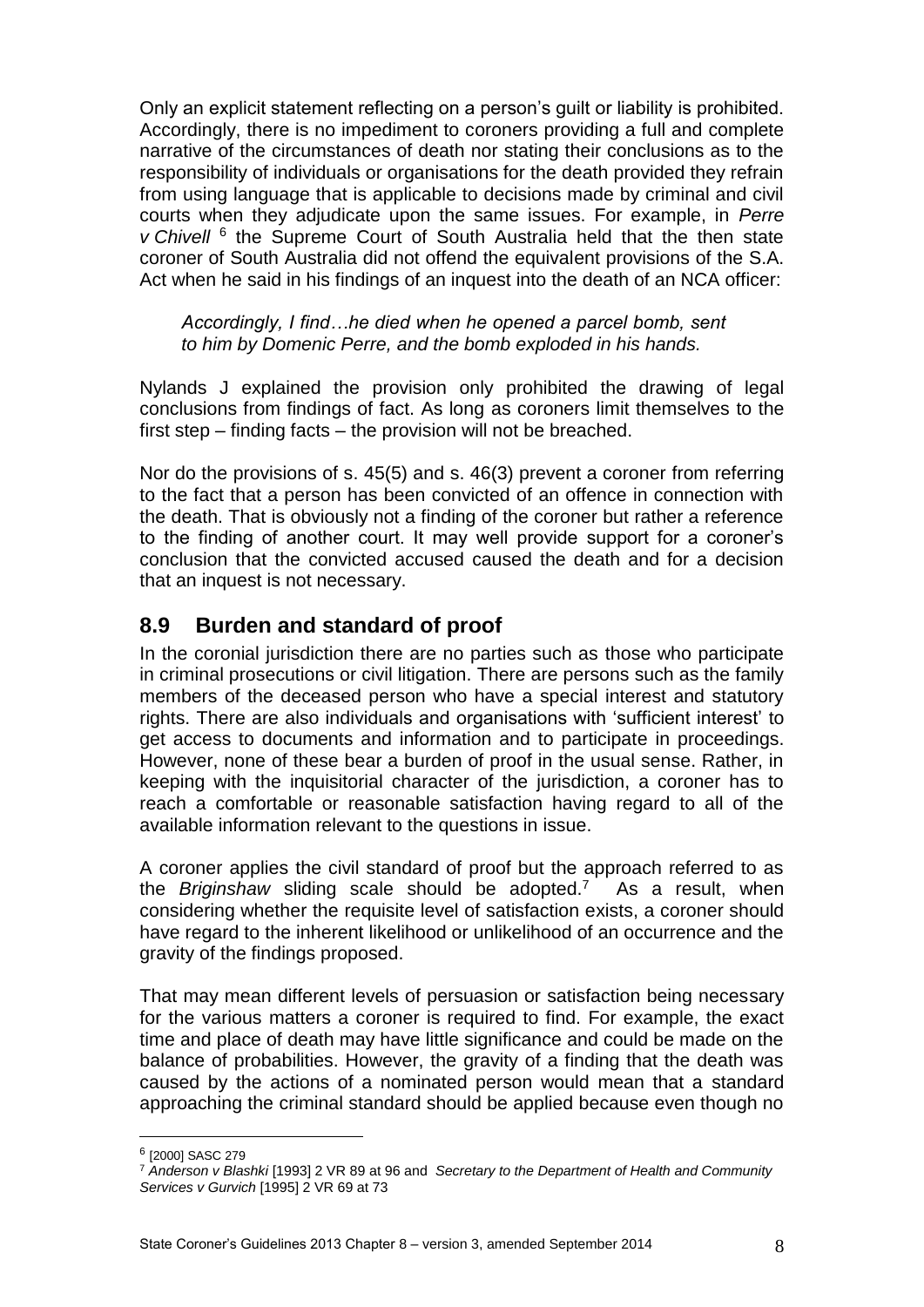Only an explicit statement reflecting on a person's guilt or liability is prohibited. Accordingly, there is no impediment to coroners providing a full and complete narrative of the circumstances of death nor stating their conclusions as to the responsibility of individuals or organisations for the death provided they refrain from using language that is applicable to decisions made by criminal and civil courts when they adjudicate upon the same issues. For example, in *Perre v* Chivell <sup>6</sup> the Supreme Court of South Australia held that the then state coroner of South Australia did not offend the equivalent provisions of the S.A. Act when he said in his findings of an inquest into the death of an NCA officer:

*Accordingly, I find…he died when he opened a parcel bomb, sent to him by Domenic Perre, and the bomb exploded in his hands.*

Nylands J explained the provision only prohibited the drawing of legal conclusions from findings of fact. As long as coroners limit themselves to the first step – finding facts – the provision will not be breached.

Nor do the provisions of s. 45(5) and s. 46(3) prevent a coroner from referring to the fact that a person has been convicted of an offence in connection with the death. That is obviously not a finding of the coroner but rather a reference to the finding of another court. It may well provide support for a coroner's conclusion that the convicted accused caused the death and for a decision that an inquest is not necessary.

## <span id="page-7-0"></span>**8.9 Burden and standard of proof**

In the coronial jurisdiction there are no parties such as those who participate in criminal prosecutions or civil litigation. There are persons such as the family members of the deceased person who have a special interest and statutory rights. There are also individuals and organisations with 'sufficient interest' to get access to documents and information and to participate in proceedings. However, none of these bear a burden of proof in the usual sense. Rather, in keeping with the inquisitorial character of the jurisdiction, a coroner has to reach a comfortable or reasonable satisfaction having regard to all of the available information relevant to the questions in issue.

A coroner applies the civil standard of proof but the approach referred to as the *Briginshaw* sliding scale should be adopted.<sup>7</sup> As a result, when considering whether the requisite level of satisfaction exists, a coroner should have regard to the inherent likelihood or unlikelihood of an occurrence and the gravity of the findings proposed.

That may mean different levels of persuasion or satisfaction being necessary for the various matters a coroner is required to find. For example, the exact time and place of death may have little significance and could be made on the balance of probabilities. However, the gravity of a finding that the death was caused by the actions of a nominated person would mean that a standard approaching the criminal standard should be applied because even though no

1

<sup>6</sup> [2000] SASC 279

<sup>7</sup> *Anderson v Blashki* [1993] 2 VR 89 at 96 and *Secretary to the Department of Health and Community Services v Gurvich* [1995] 2 VR 69 at 73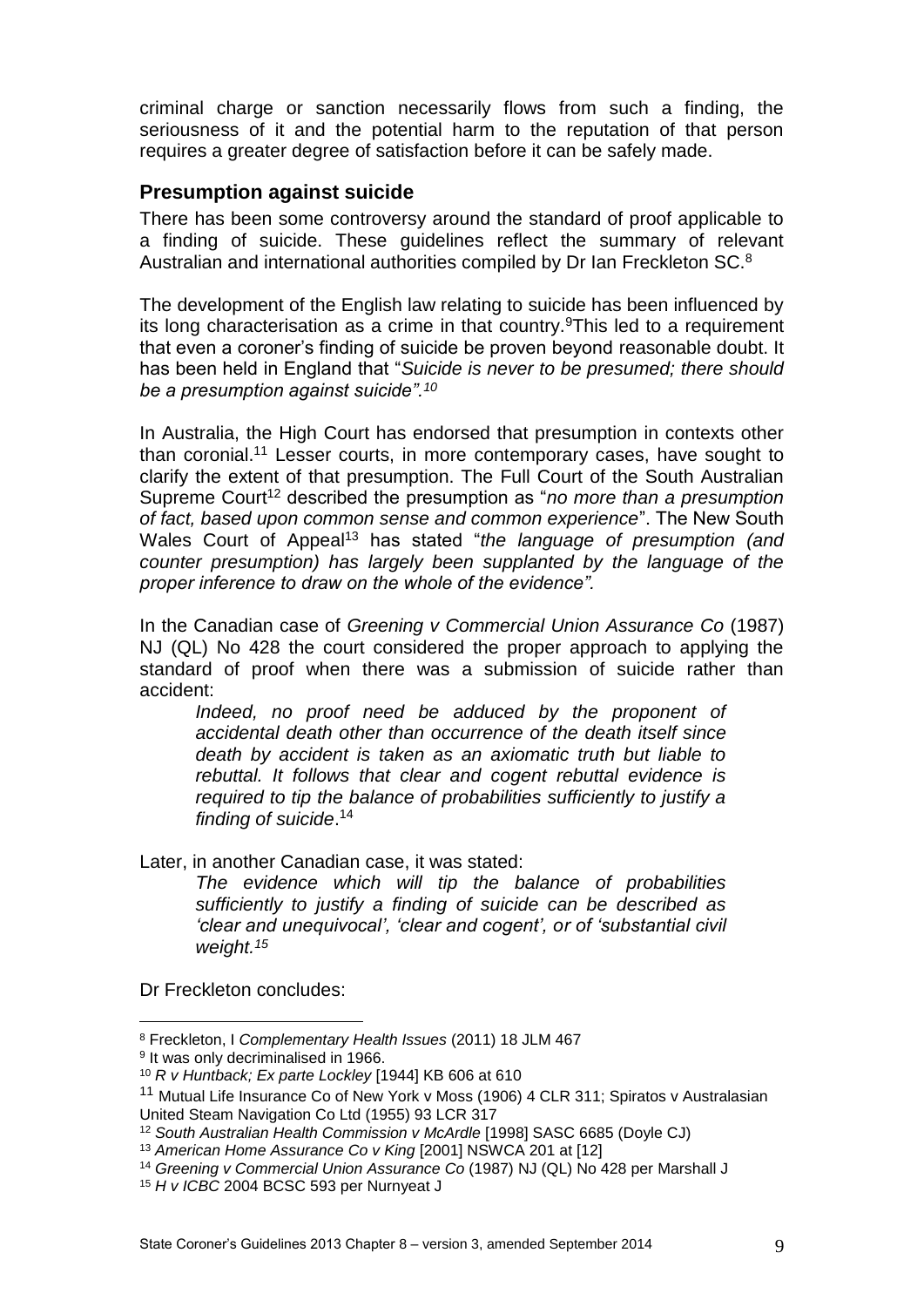criminal charge or sanction necessarily flows from such a finding, the seriousness of it and the potential harm to the reputation of that person requires a greater degree of satisfaction before it can be safely made.

#### <span id="page-8-0"></span>**Presumption against suicide**

There has been some controversy around the standard of proof applicable to a finding of suicide. These guidelines reflect the summary of relevant Australian and international authorities compiled by Dr Ian Freckleton SC.<sup>8</sup>

The development of the English law relating to suicide has been influenced by its long characterisation as a crime in that country.<sup>9</sup>This led to a requirement that even a coroner's finding of suicide be proven beyond reasonable doubt. It has been held in England that "*Suicide is never to be presumed; there should be a presumption against suicide".<sup>10</sup>*

In Australia, the High Court has endorsed that presumption in contexts other than coronial.<sup>11</sup> Lesser courts, in more contemporary cases, have sought to clarify the extent of that presumption. The Full Court of the South Australian Supreme Court<sup>12</sup> described the presumption as "*no more than a presumption of fact, based upon common sense and common experience*". The New South Wales Court of Appeal<sup>13</sup> has stated "*the language of presumption (and counter presumption) has largely been supplanted by the language of the proper inference to draw on the whole of the evidence".*

In the Canadian case of *Greening v Commercial Union Assurance Co* (1987) NJ (QL) No 428 the court considered the proper approach to applying the standard of proof when there was a submission of suicide rather than accident:

*Indeed, no proof need be adduced by the proponent of accidental death other than occurrence of the death itself since death by accident is taken as an axiomatic truth but liable to rebuttal. It follows that clear and cogent rebuttal evidence is required to tip the balance of probabilities sufficiently to justify a finding of suicide*. 14

Later, in another Canadian case, it was stated:

*The evidence which will tip the balance of probabilities sufficiently to justify a finding of suicide can be described as 'clear and unequivocal', 'clear and cogent', or of 'substantial civil weight.<sup>15</sup>*

Dr Freckleton concludes:

<u>.</u>

<sup>8</sup> Freckleton, I *Complementary Health Issues* (2011) 18 JLM 467

<sup>&</sup>lt;sup>9</sup> It was only decriminalised in 1966.

<sup>10</sup> *R v Huntback; Ex parte Lockley* [1944] KB 606 at 610

<sup>&</sup>lt;sup>11</sup> Mutual Life Insurance Co of New York v Moss (1906) 4 CLR 311; Spiratos v Australasian United Steam Navigation Co Ltd (1955) 93 LCR 317

<sup>12</sup> *South Australian Health Commission v McArdle* [1998] SASC 6685 (Doyle CJ)

<sup>13</sup> *American Home Assurance Co v King* [2001] NSWCA 201 at [12]

<sup>14</sup> *Greening v Commercial Union Assurance Co* (1987) NJ (QL) No 428 per Marshall J

<sup>15</sup> *H v ICBC* 2004 BCSC 593 per Nurnyeat J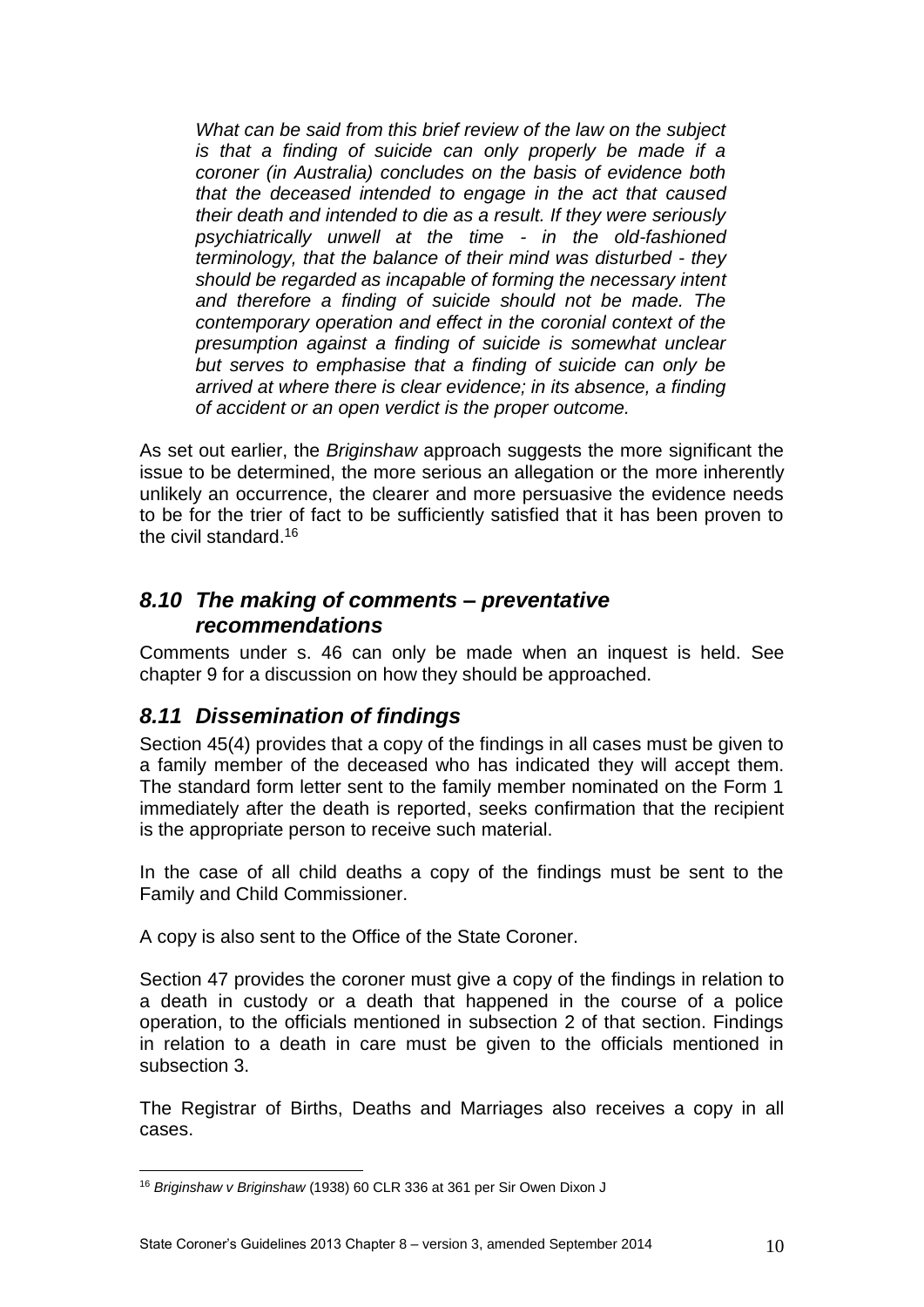*What can be said from this brief review of the law on the subject is that a finding of suicide can only properly be made if a coroner (in Australia) concludes on the basis of evidence both that the deceased intended to engage in the act that caused their death and intended to die as a result. If they were seriously psychiatrically unwell at the time - in the old-fashioned terminology, that the balance of their mind was disturbed - they should be regarded as incapable of forming the necessary intent and therefore a finding of suicide should not be made. The contemporary operation and effect in the coronial context of the presumption against a finding of suicide is somewhat unclear but serves to emphasise that a finding of suicide can only be arrived at where there is clear evidence; in its absence, a finding of accident or an open verdict is the proper outcome.* 

As set out earlier, the *Briginshaw* approach suggests the more significant the issue to be determined, the more serious an allegation or the more inherently unlikely an occurrence, the clearer and more persuasive the evidence needs to be for the trier of fact to be sufficiently satisfied that it has been proven to the civil standard.<sup>16</sup>

## <span id="page-9-0"></span>*8.10 The making of comments – preventative recommendations*

Comments under s. 46 can only be made when an inquest is held. See chapter 9 for a discussion on how they should be approached.

# <span id="page-9-1"></span>*8.11 Dissemination of findings*

Section 45(4) provides that a copy of the findings in all cases must be given to a family member of the deceased who has indicated they will accept them. The standard form letter sent to the family member nominated on the Form 1 immediately after the death is reported, seeks confirmation that the recipient is the appropriate person to receive such material.

In the case of all child deaths a copy of the findings must be sent to the Family and Child Commissioner.

A copy is also sent to the Office of the State Coroner.

Section 47 provides the coroner must give a copy of the findings in relation to a death in custody or a death that happened in the course of a police operation, to the officials mentioned in subsection 2 of that section. Findings in relation to a death in care must be given to the officials mentioned in subsection 3.

The Registrar of Births, Deaths and Marriages also receives a copy in all cases.

<sup>1</sup> <sup>16</sup> *Briginshaw v Briginshaw* (1938) 60 CLR 336 at 361 per Sir Owen Dixon J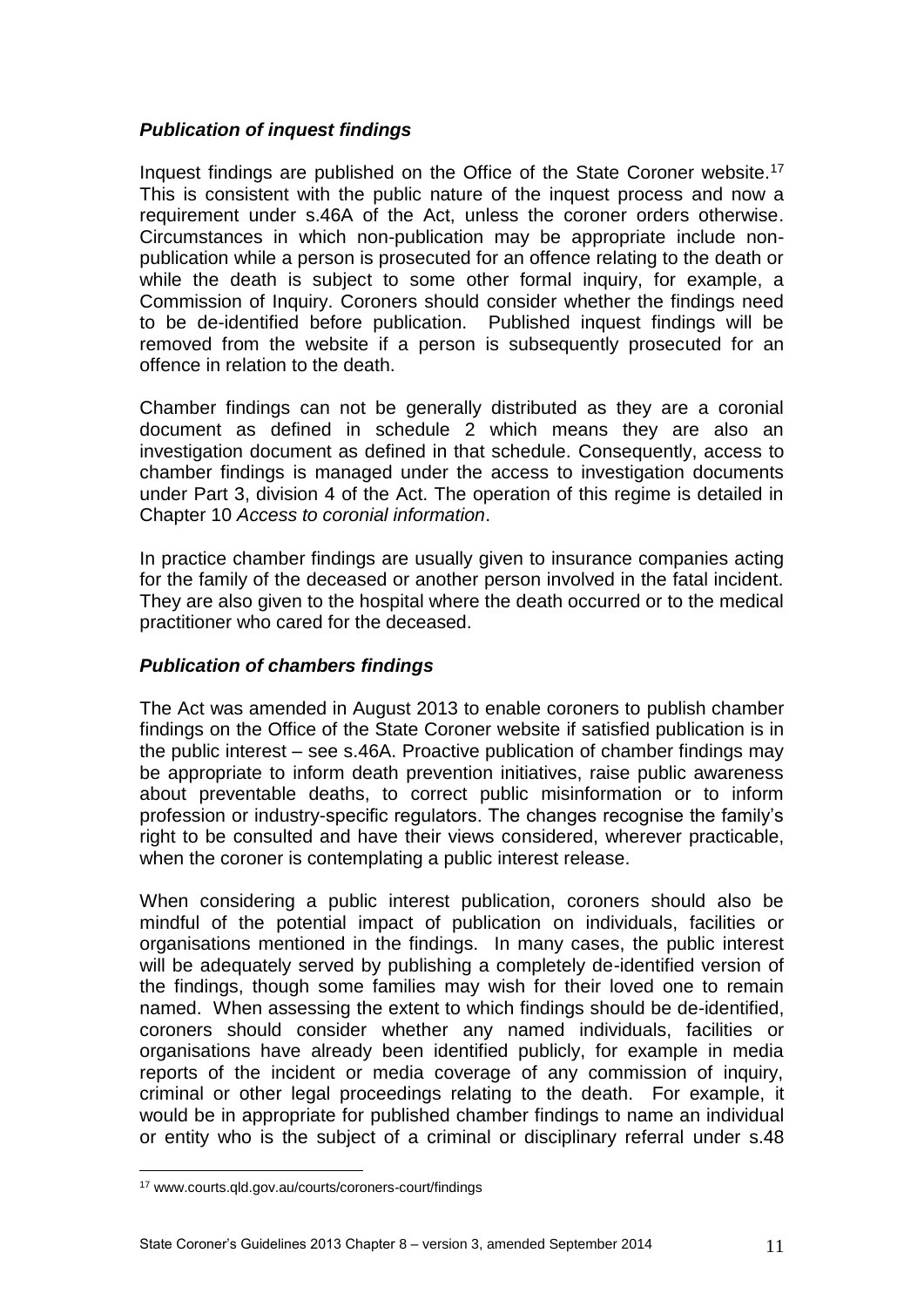#### *Publication of inquest findings*

Inquest findings are published on the Office of the State Coroner website.<sup>17</sup> This is consistent with the public nature of the inquest process and now a requirement under s.46A of the Act, unless the coroner orders otherwise. Circumstances in which non-publication may be appropriate include nonpublication while a person is prosecuted for an offence relating to the death or while the death is subject to some other formal inquiry, for example, a Commission of Inquiry. Coroners should consider whether the findings need to be de-identified before publication. Published inquest findings will be removed from the website if a person is subsequently prosecuted for an offence in relation to the death.

Chamber findings can not be generally distributed as they are a coronial document as defined in schedule 2 which means they are also an investigation document as defined in that schedule. Consequently, access to chamber findings is managed under the access to investigation documents under Part 3, division 4 of the Act. The operation of this regime is detailed in Chapter 10 *Access to coronial information*.

In practice chamber findings are usually given to insurance companies acting for the family of the deceased or another person involved in the fatal incident. They are also given to the hospital where the death occurred or to the medical practitioner who cared for the deceased.

#### *Publication of chambers findings*

The Act was amended in August 2013 to enable coroners to publish chamber findings on the Office of the State Coroner website if satisfied publication is in the public interest – see s.46A. Proactive publication of chamber findings may be appropriate to inform death prevention initiatives, raise public awareness about preventable deaths, to correct public misinformation or to inform profession or industry-specific regulators. The changes recognise the family's right to be consulted and have their views considered, wherever practicable, when the coroner is contemplating a public interest release.

When considering a public interest publication, coroners should also be mindful of the potential impact of publication on individuals, facilities or organisations mentioned in the findings. In many cases, the public interest will be adequately served by publishing a completely de-identified version of the findings, though some families may wish for their loved one to remain named. When assessing the extent to which findings should be de-identified, coroners should consider whether any named individuals, facilities or organisations have already been identified publicly, for example in media reports of the incident or media coverage of any commission of inquiry, criminal or other legal proceedings relating to the death. For example, it would be in appropriate for published chamber findings to name an individual or entity who is the subject of a criminal or disciplinary referral under s.48

1

<sup>17</sup> www.courts.qld.gov.au/courts/coroners-court/findings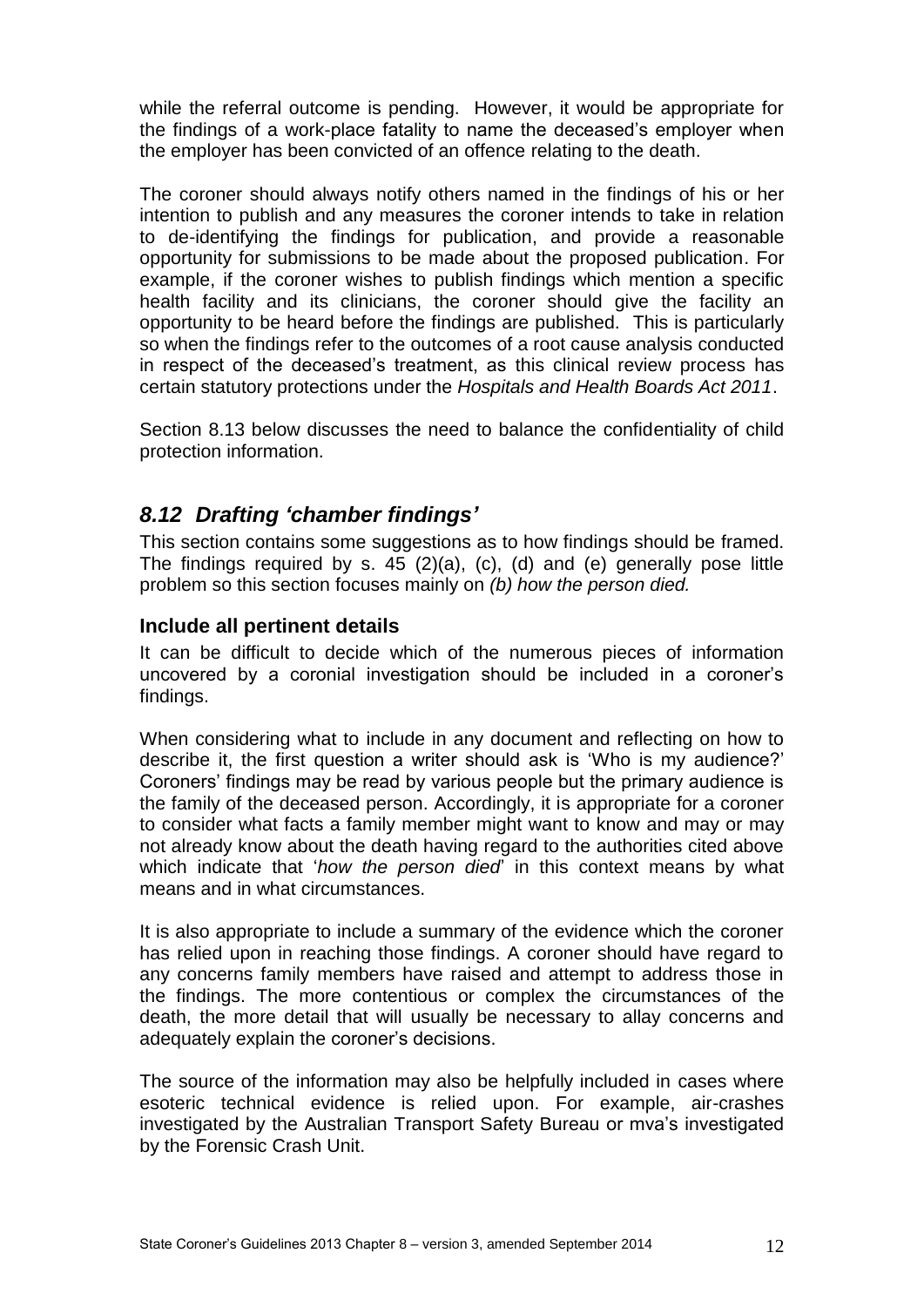while the referral outcome is pending. However, it would be appropriate for the findings of a work-place fatality to name the deceased's employer when the employer has been convicted of an offence relating to the death.

The coroner should always notify others named in the findings of his or her intention to publish and any measures the coroner intends to take in relation to de-identifying the findings for publication, and provide a reasonable opportunity for submissions to be made about the proposed publication. For example, if the coroner wishes to publish findings which mention a specific health facility and its clinicians, the coroner should give the facility an opportunity to be heard before the findings are published. This is particularly so when the findings refer to the outcomes of a root cause analysis conducted in respect of the deceased's treatment, as this clinical review process has certain statutory protections under the *Hospitals and Health Boards Act 2011*.

Section 8.13 below discusses the need to balance the confidentiality of child protection information.

## <span id="page-11-0"></span>*8.12 Drafting 'chamber findings'*

This section contains some suggestions as to how findings should be framed. The findings required by s. 45 (2)(a), (c), (d) and (e) generally pose little problem so this section focuses mainly on *(b) how the person died.*

#### <span id="page-11-1"></span>**Include all pertinent details**

It can be difficult to decide which of the numerous pieces of information uncovered by a coronial investigation should be included in a coroner's findings.

When considering what to include in any document and reflecting on how to describe it, the first question a writer should ask is 'Who is my audience?' Coroners' findings may be read by various people but the primary audience is the family of the deceased person. Accordingly, it is appropriate for a coroner to consider what facts a family member might want to know and may or may not already know about the death having regard to the authorities cited above which indicate that '*how the person died*' in this context means by what means and in what circumstances.

It is also appropriate to include a summary of the evidence which the coroner has relied upon in reaching those findings. A coroner should have regard to any concerns family members have raised and attempt to address those in the findings. The more contentious or complex the circumstances of the death, the more detail that will usually be necessary to allay concerns and adequately explain the coroner's decisions.

The source of the information may also be helpfully included in cases where esoteric technical evidence is relied upon. For example, air-crashes investigated by the Australian Transport Safety Bureau or mva's investigated by the Forensic Crash Unit.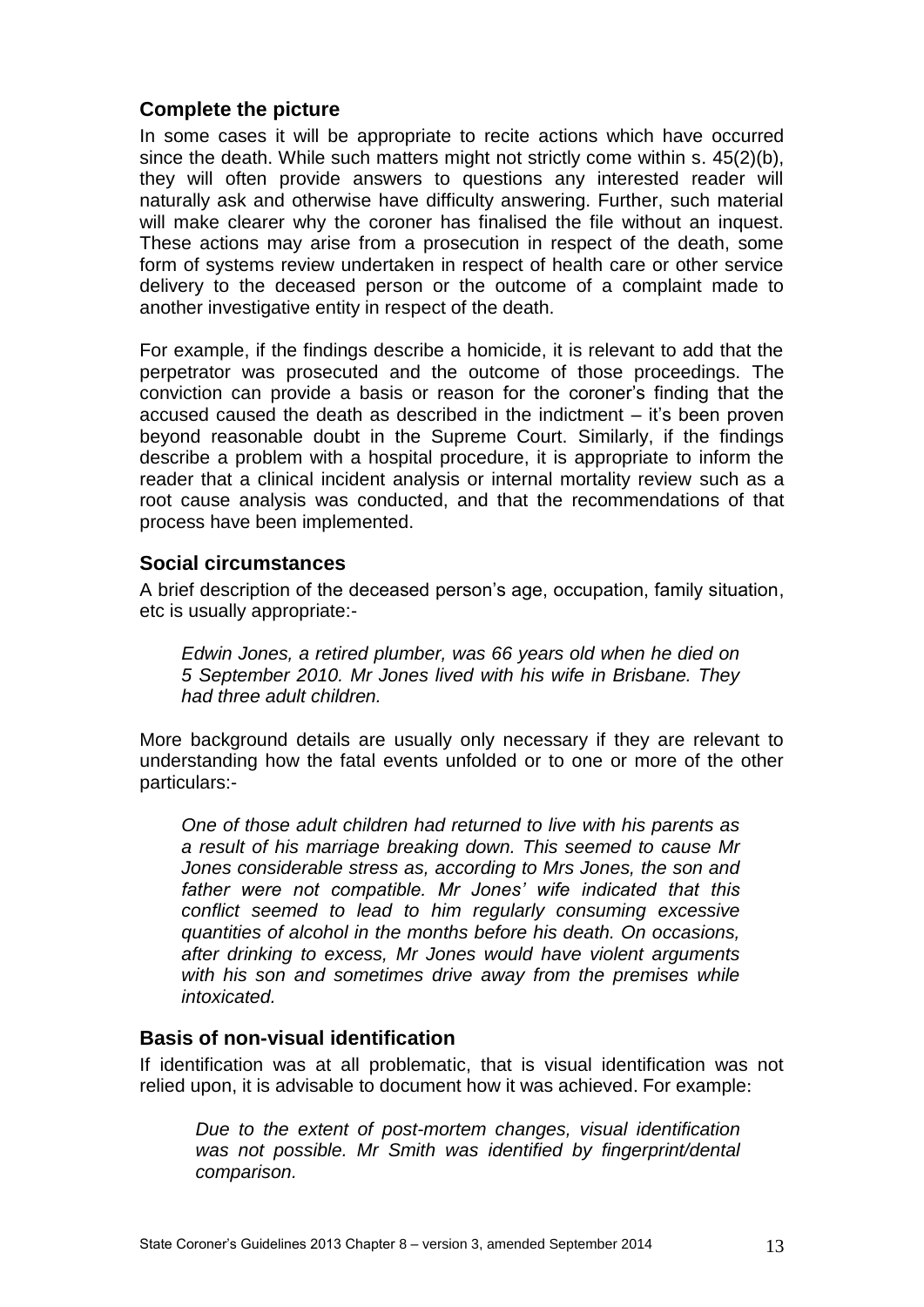#### <span id="page-12-0"></span>**Complete the picture**

In some cases it will be appropriate to recite actions which have occurred since the death. While such matters might not strictly come within s. 45(2)(b), they will often provide answers to questions any interested reader will naturally ask and otherwise have difficulty answering. Further, such material will make clearer why the coroner has finalised the file without an inquest. These actions may arise from a prosecution in respect of the death, some form of systems review undertaken in respect of health care or other service delivery to the deceased person or the outcome of a complaint made to another investigative entity in respect of the death.

For example, if the findings describe a homicide, it is relevant to add that the perpetrator was prosecuted and the outcome of those proceedings. The conviction can provide a basis or reason for the coroner's finding that the accused caused the death as described in the indictment – it's been proven beyond reasonable doubt in the Supreme Court. Similarly, if the findings describe a problem with a hospital procedure, it is appropriate to inform the reader that a clinical incident analysis or internal mortality review such as a root cause analysis was conducted, and that the recommendations of that process have been implemented.

#### <span id="page-12-1"></span>**Social circumstances**

A brief description of the deceased person's age, occupation, family situation, etc is usually appropriate:-

*Edwin Jones, a retired plumber, was 66 years old when he died on 5 September 2010. Mr Jones lived with his wife in Brisbane. They had three adult children.*

More background details are usually only necessary if they are relevant to understanding how the fatal events unfolded or to one or more of the other particulars:-

*One of those adult children had returned to live with his parents as a result of his marriage breaking down. This seemed to cause Mr Jones considerable stress as, according to Mrs Jones, the son and father were not compatible. Mr Jones' wife indicated that this conflict seemed to lead to him regularly consuming excessive quantities of alcohol in the months before his death. On occasions, after drinking to excess, Mr Jones would have violent arguments with his son and sometimes drive away from the premises while intoxicated.* 

#### <span id="page-12-2"></span>**Basis of non-visual identification**

If identification was at all problematic, that is visual identification was not relied upon, it is advisable to document how it was achieved. For example:

*Due to the extent of post-mortem changes, visual identification was not possible. Mr Smith was identified by fingerprint/dental comparison.*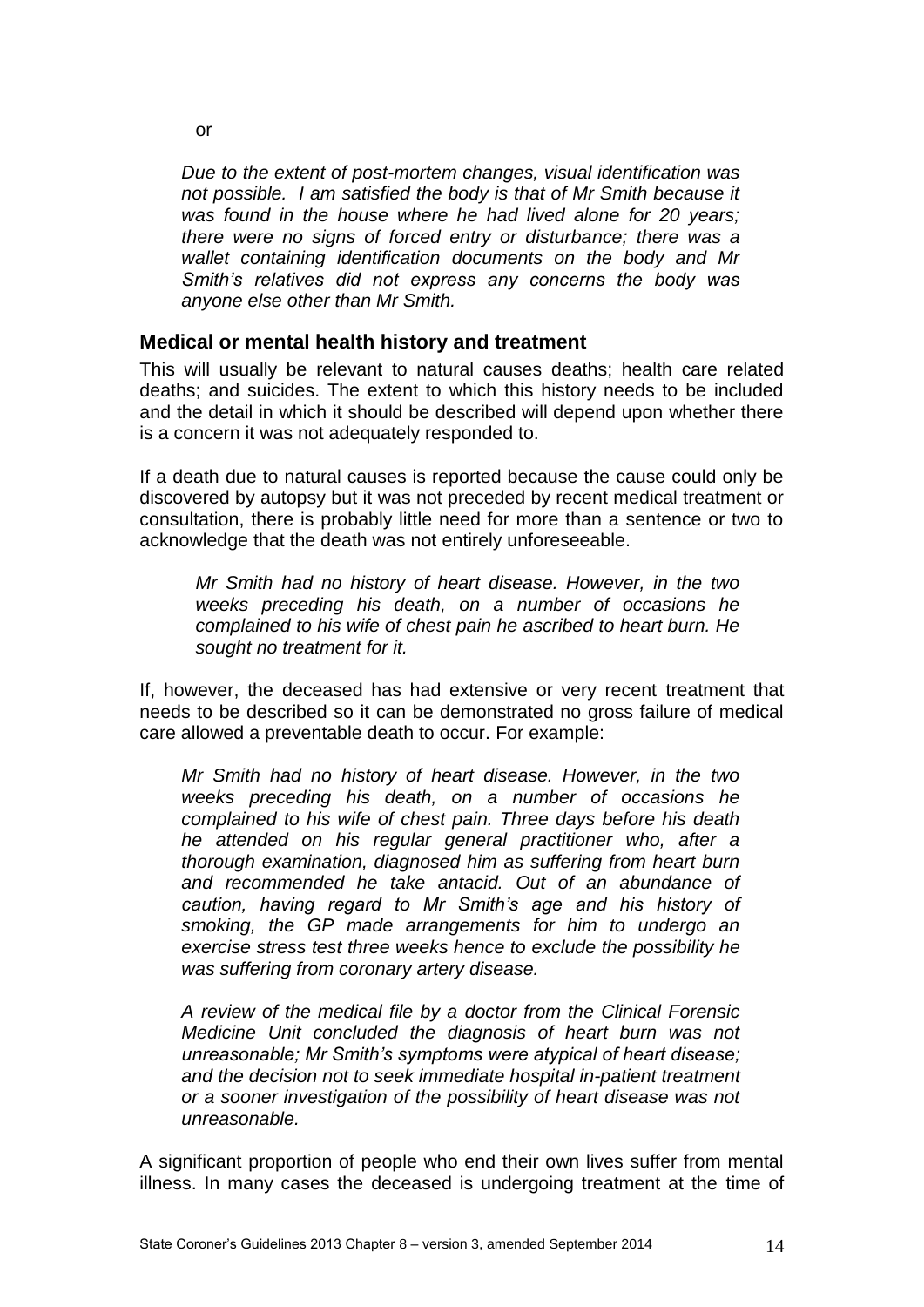*Due to the extent of post-mortem changes, visual identification was not possible. I am satisfied the body is that of Mr Smith because it was found in the house where he had lived alone for 20 years; there were no signs of forced entry or disturbance; there was a wallet containing identification documents on the body and Mr Smith's relatives did not express any concerns the body was anyone else other than Mr Smith.* 

#### <span id="page-13-0"></span>**Medical or mental health history and treatment**

This will usually be relevant to natural causes deaths; health care related deaths; and suicides. The extent to which this history needs to be included and the detail in which it should be described will depend upon whether there is a concern it was not adequately responded to.

If a death due to natural causes is reported because the cause could only be discovered by autopsy but it was not preceded by recent medical treatment or consultation, there is probably little need for more than a sentence or two to acknowledge that the death was not entirely unforeseeable.

*Mr Smith had no history of heart disease. However, in the two weeks preceding his death, on a number of occasions he complained to his wife of chest pain he ascribed to heart burn. He sought no treatment for it.*

If, however, the deceased has had extensive or very recent treatment that needs to be described so it can be demonstrated no gross failure of medical care allowed a preventable death to occur. For example:

*Mr Smith had no history of heart disease. However, in the two weeks preceding his death, on a number of occasions he complained to his wife of chest pain. Three days before his death he attended on his regular general practitioner who, after a thorough examination, diagnosed him as suffering from heart burn and recommended he take antacid. Out of an abundance of caution, having regard to Mr Smith's age and his history of smoking, the GP made arrangements for him to undergo an exercise stress test three weeks hence to exclude the possibility he was suffering from coronary artery disease.*

*A review of the medical file by a doctor from the Clinical Forensic Medicine Unit concluded the diagnosis of heart burn was not unreasonable; Mr Smith's symptoms were atypical of heart disease; and the decision not to seek immediate hospital in-patient treatment or a sooner investigation of the possibility of heart disease was not unreasonable.* 

A significant proportion of people who end their own lives suffer from mental illness. In many cases the deceased is undergoing treatment at the time of

or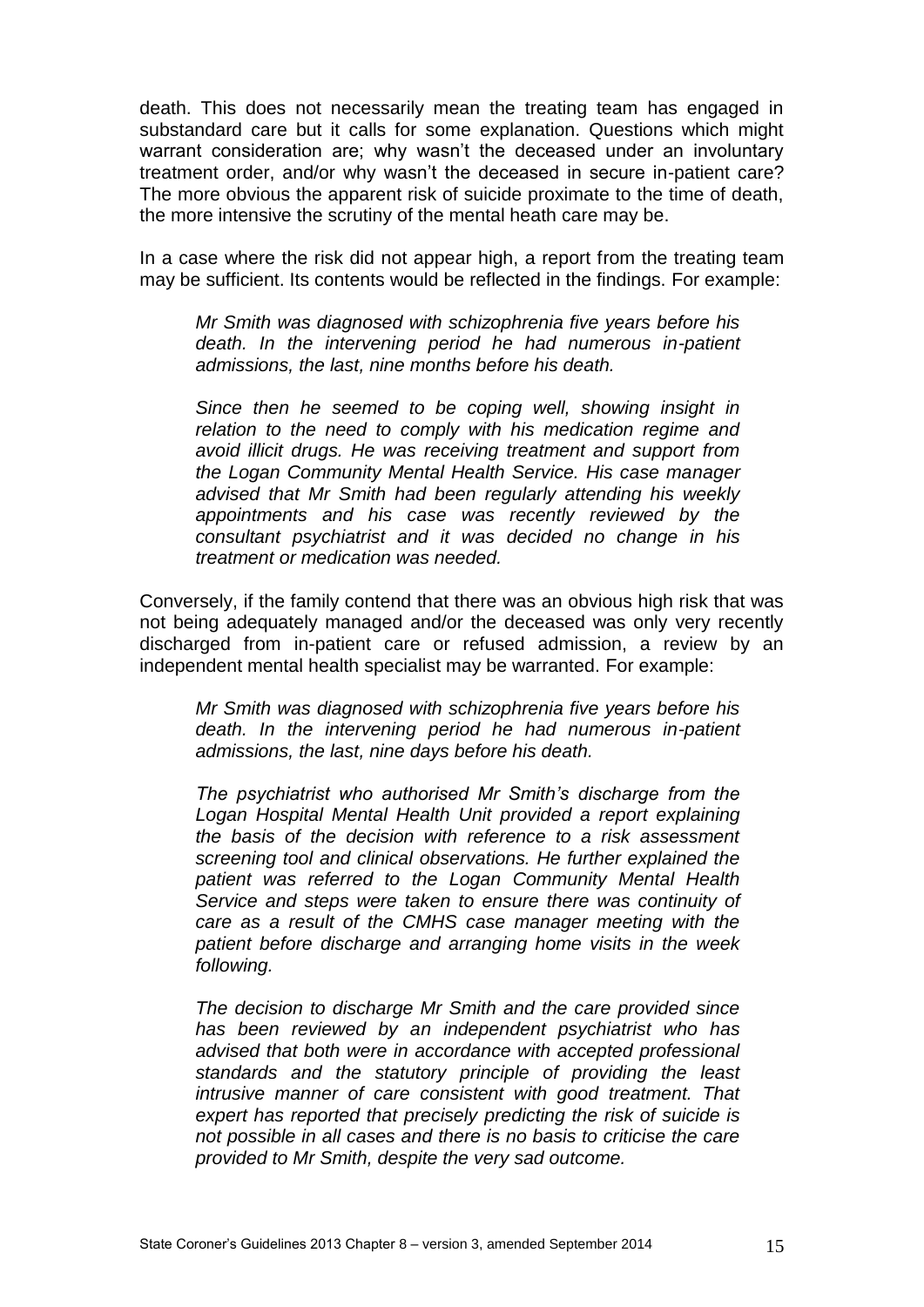death. This does not necessarily mean the treating team has engaged in substandard care but it calls for some explanation. Questions which might warrant consideration are; why wasn't the deceased under an involuntary treatment order, and/or why wasn't the deceased in secure in-patient care? The more obvious the apparent risk of suicide proximate to the time of death, the more intensive the scrutiny of the mental heath care may be.

In a case where the risk did not appear high, a report from the treating team may be sufficient. Its contents would be reflected in the findings. For example:

*Mr Smith was diagnosed with schizophrenia five years before his death. In the intervening period he had numerous in-patient admissions, the last, nine months before his death.* 

*Since then he seemed to be coping well, showing insight in relation to the need to comply with his medication regime and avoid illicit drugs. He was receiving treatment and support from the Logan Community Mental Health Service. His case manager advised that Mr Smith had been regularly attending his weekly appointments and his case was recently reviewed by the consultant psychiatrist and it was decided no change in his treatment or medication was needed.*

Conversely, if the family contend that there was an obvious high risk that was not being adequately managed and/or the deceased was only very recently discharged from in-patient care or refused admission, a review by an independent mental health specialist may be warranted. For example:

*Mr Smith was diagnosed with schizophrenia five years before his death. In the intervening period he had numerous in-patient admissions, the last, nine days before his death.* 

*The psychiatrist who authorised Mr Smith's discharge from the Logan Hospital Mental Health Unit provided a report explaining the basis of the decision with reference to a risk assessment screening tool and clinical observations. He further explained the patient was referred to the Logan Community Mental Health Service and steps were taken to ensure there was continuity of care as a result of the CMHS case manager meeting with the patient before discharge and arranging home visits in the week following.*

*The decision to discharge Mr Smith and the care provided since has been reviewed by an independent psychiatrist who has advised that both were in accordance with accepted professional standards and the statutory principle of providing the least intrusive manner of care consistent with good treatment. That expert has reported that precisely predicting the risk of suicide is not possible in all cases and there is no basis to criticise the care provided to Mr Smith, despite the very sad outcome.*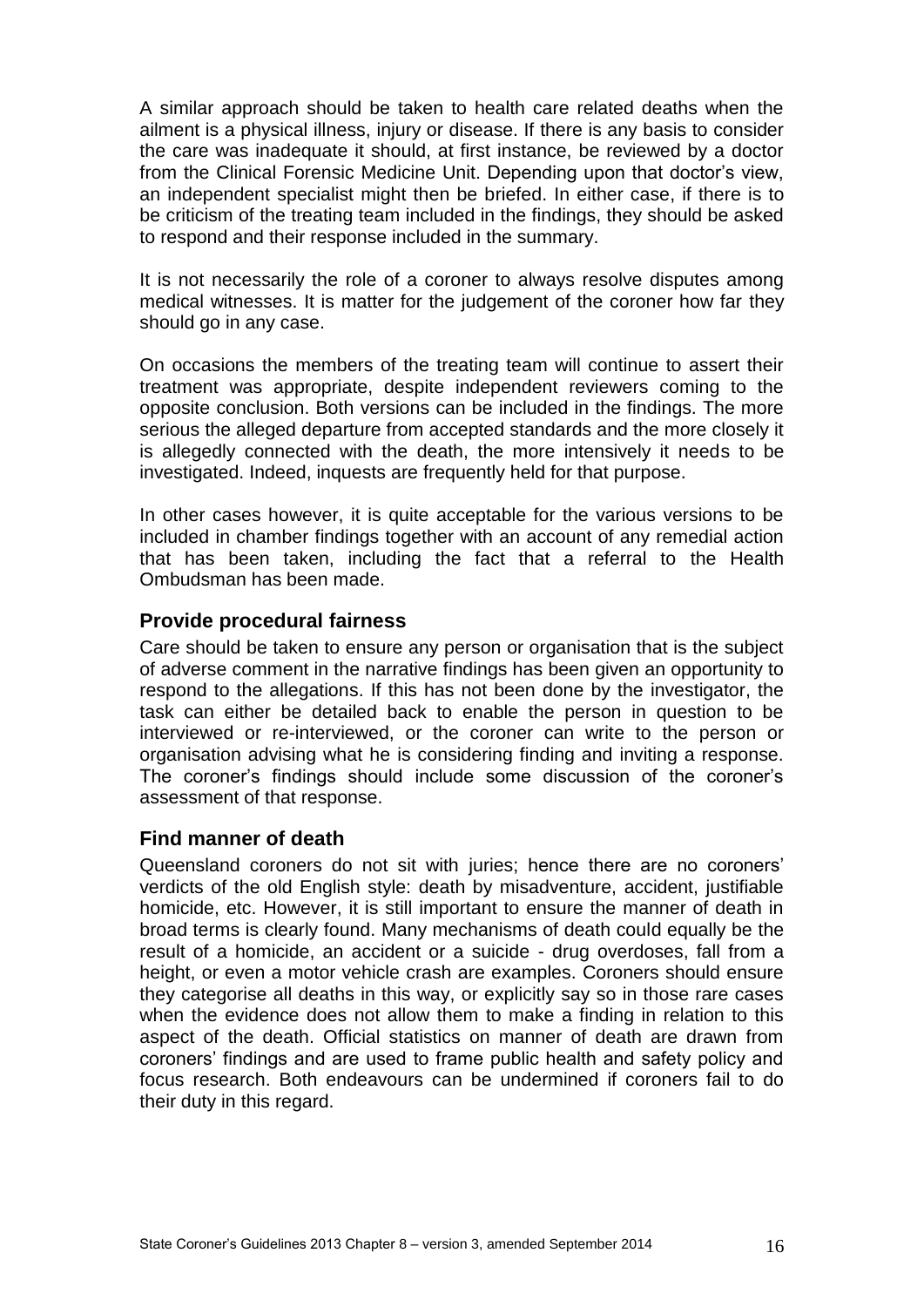A similar approach should be taken to health care related deaths when the ailment is a physical illness, injury or disease. If there is any basis to consider the care was inadequate it should, at first instance, be reviewed by a doctor from the Clinical Forensic Medicine Unit. Depending upon that doctor's view, an independent specialist might then be briefed. In either case, if there is to be criticism of the treating team included in the findings, they should be asked to respond and their response included in the summary.

It is not necessarily the role of a coroner to always resolve disputes among medical witnesses. It is matter for the judgement of the coroner how far they should go in any case.

On occasions the members of the treating team will continue to assert their treatment was appropriate, despite independent reviewers coming to the opposite conclusion. Both versions can be included in the findings. The more serious the alleged departure from accepted standards and the more closely it is allegedly connected with the death, the more intensively it needs to be investigated. Indeed, inquests are frequently held for that purpose.

In other cases however, it is quite acceptable for the various versions to be included in chamber findings together with an account of any remedial action that has been taken, including the fact that a referral to the Health Ombudsman has been made.

#### <span id="page-15-0"></span>**Provide procedural fairness**

Care should be taken to ensure any person or organisation that is the subject of adverse comment in the narrative findings has been given an opportunity to respond to the allegations. If this has not been done by the investigator, the task can either be detailed back to enable the person in question to be interviewed or re-interviewed, or the coroner can write to the person or organisation advising what he is considering finding and inviting a response. The coroner's findings should include some discussion of the coroner's assessment of that response.

#### <span id="page-15-1"></span>**Find manner of death**

Queensland coroners do not sit with juries; hence there are no coroners' verdicts of the old English style: death by misadventure, accident, justifiable homicide, etc. However, it is still important to ensure the manner of death in broad terms is clearly found. Many mechanisms of death could equally be the result of a homicide, an accident or a suicide - drug overdoses, fall from a height, or even a motor vehicle crash are examples. Coroners should ensure they categorise all deaths in this way, or explicitly say so in those rare cases when the evidence does not allow them to make a finding in relation to this aspect of the death. Official statistics on manner of death are drawn from coroners' findings and are used to frame public health and safety policy and focus research. Both endeavours can be undermined if coroners fail to do their duty in this regard.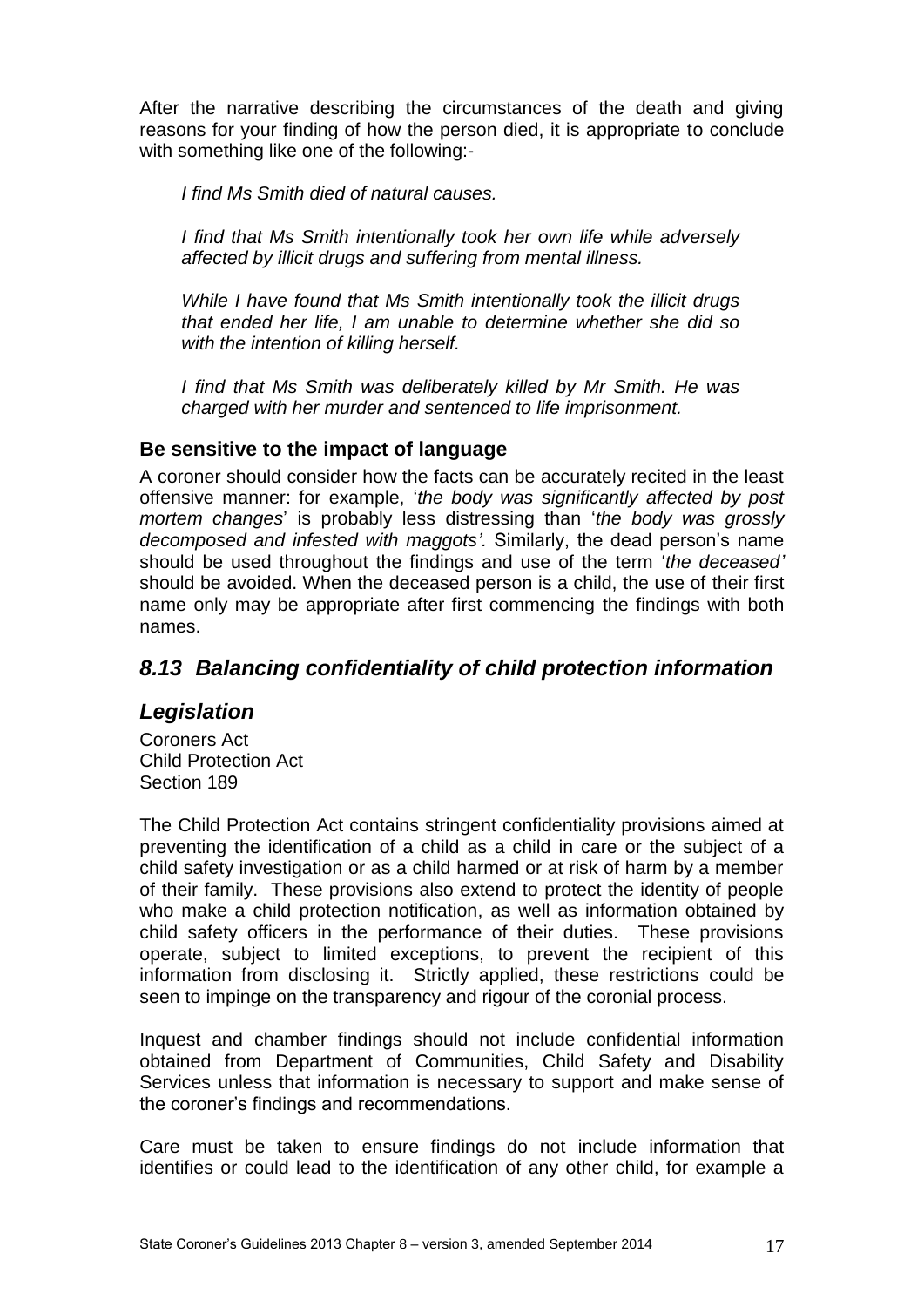After the narrative describing the circumstances of the death and giving reasons for your finding of how the person died, it is appropriate to conclude with something like one of the following:-

*I find Ms Smith died of natural causes.*

*I find that Ms Smith intentionally took her own life while adversely affected by illicit drugs and suffering from mental illness.*

*While I have found that Ms Smith intentionally took the illicit drugs that ended her life, I am unable to determine whether she did so with the intention of killing herself.*

*I find that Ms Smith was deliberately killed by Mr Smith. He was charged with her murder and sentenced to life imprisonment.*

#### <span id="page-16-0"></span>**Be sensitive to the impact of language**

A coroner should consider how the facts can be accurately recited in the least offensive manner: for example, '*the body was significantly affected by post mortem changes*' is probably less distressing than '*the body was grossly decomposed and infested with maggots'.* Similarly, the dead person's name should be used throughout the findings and use of the term '*the deceased'* should be avoided. When the deceased person is a child, the use of their first name only may be appropriate after first commencing the findings with both names.

# <span id="page-16-1"></span>*8.13 Balancing confidentiality of child protection information*

# <span id="page-16-2"></span>*Legislation*

Coroners Act Child Protection Act Section 189

The Child Protection Act contains stringent confidentiality provisions aimed at preventing the identification of a child as a child in care or the subject of a child safety investigation or as a child harmed or at risk of harm by a member of their family. These provisions also extend to protect the identity of people who make a child protection notification, as well as information obtained by child safety officers in the performance of their duties. These provisions operate, subject to limited exceptions, to prevent the recipient of this information from disclosing it. Strictly applied, these restrictions could be seen to impinge on the transparency and rigour of the coronial process.

Inquest and chamber findings should not include confidential information obtained from Department of Communities, Child Safety and Disability Services unless that information is necessary to support and make sense of the coroner's findings and recommendations.

Care must be taken to ensure findings do not include information that identifies or could lead to the identification of any other child, for example a